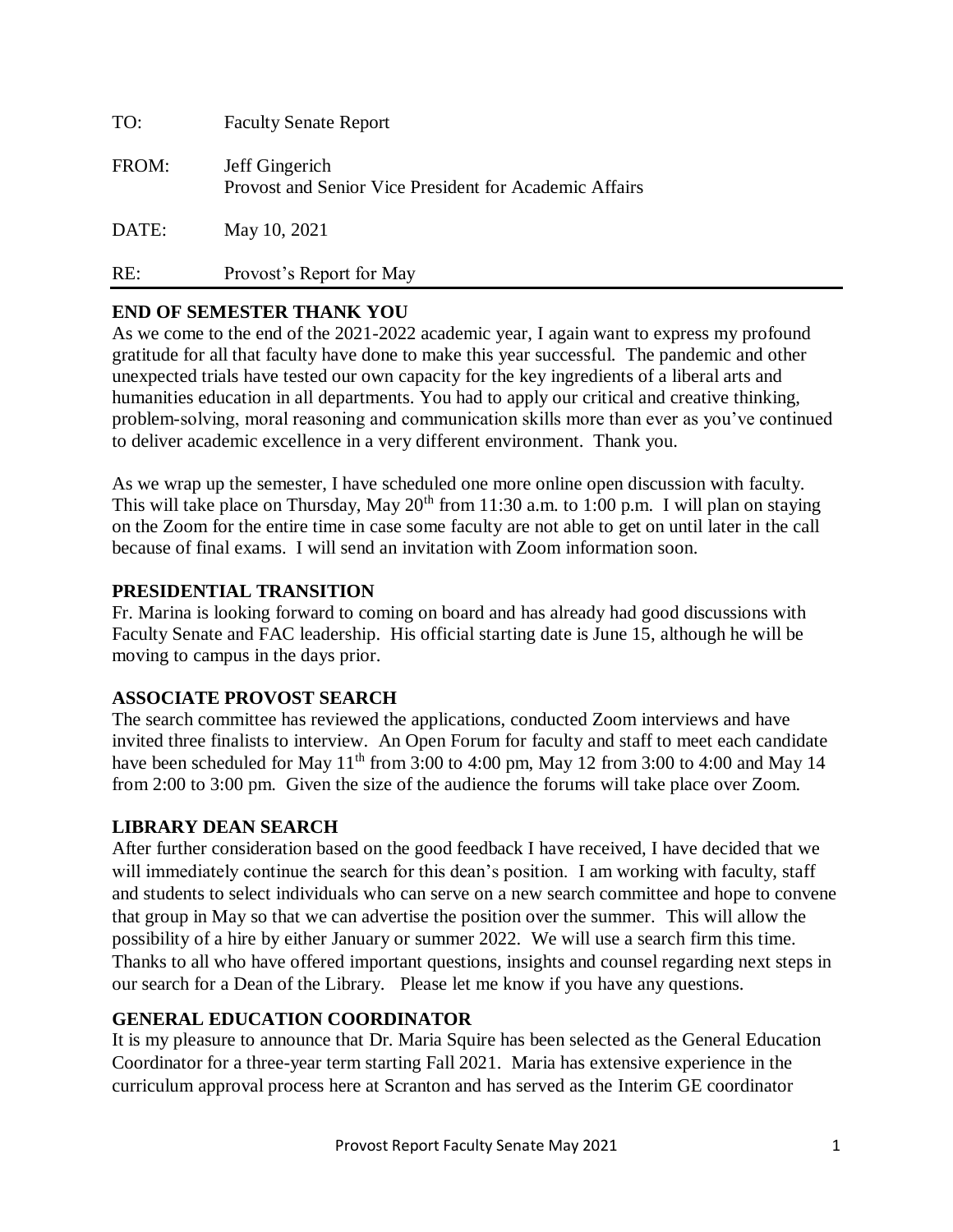| TO:   | <b>Faculty Senate Report</b>                                             |
|-------|--------------------------------------------------------------------------|
| FROM: | Jeff Gingerich<br>Provost and Senior Vice President for Academic Affairs |
| DATE: | May 10, 2021                                                             |
| RE:   | Provost's Report for May                                                 |

# **END OF SEMESTER THANK YOU**

As we come to the end of the 2021-2022 academic year, I again want to express my profound gratitude for all that faculty have done to make this year successful. The pandemic and other unexpected trials have tested our own capacity for the key ingredients of a liberal arts and humanities education in all departments. You had to apply our critical and creative thinking, problem-solving, moral reasoning and communication skills more than ever as you've continued to deliver academic excellence in a very different environment. Thank you.

As we wrap up the semester, I have scheduled one more online open discussion with faculty. This will take place on Thursday, May  $20<sup>th</sup>$  from 11:30 a.m. to 1:00 p.m. I will plan on staying on the Zoom for the entire time in case some faculty are not able to get on until later in the call because of final exams. I will send an invitation with Zoom information soon.

# **PRESIDENTIAL TRANSITION**

Fr. Marina is looking forward to coming on board and has already had good discussions with Faculty Senate and FAC leadership. His official starting date is June 15, although he will be moving to campus in the days prior.

# **ASSOCIATE PROVOST SEARCH**

The search committee has reviewed the applications, conducted Zoom interviews and have invited three finalists to interview. An Open Forum for faculty and staff to meet each candidate have been scheduled for May  $11<sup>th</sup>$  from 3:00 to 4:00 pm, May 12 from 3:00 to 4:00 and May 14 from 2:00 to 3:00 pm. Given the size of the audience the forums will take place over Zoom.

# **LIBRARY DEAN SEARCH**

After further consideration based on the good feedback I have received, I have decided that we will immediately continue the search for this dean's position. I am working with faculty, staff and students to select individuals who can serve on a new search committee and hope to convene that group in May so that we can advertise the position over the summer. This will allow the possibility of a hire by either January or summer 2022. We will use a search firm this time. Thanks to all who have offered important questions, insights and counsel regarding next steps in our search for a Dean of the Library. Please let me know if you have any questions.

# **GENERAL EDUCATION COORDINATOR**

It is my pleasure to announce that Dr. Maria Squire has been selected as the General Education Coordinator for a three-year term starting Fall 2021. Maria has extensive experience in the curriculum approval process here at Scranton and has served as the Interim GE coordinator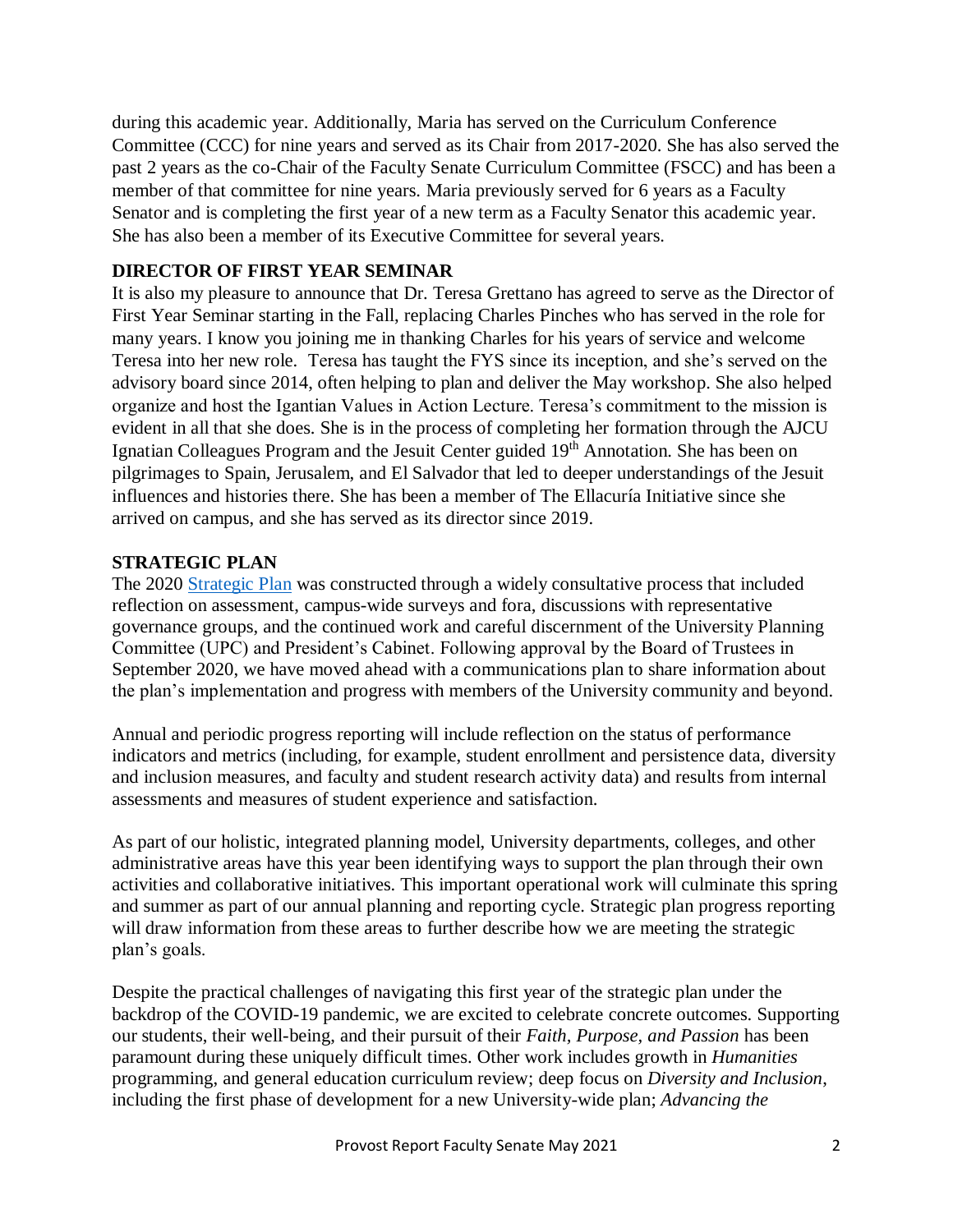during this academic year. Additionally, Maria has served on the Curriculum Conference Committee (CCC) for nine years and served as its Chair from 2017-2020. She has also served the past 2 years as the co-Chair of the Faculty Senate Curriculum Committee (FSCC) and has been a member of that committee for nine years. Maria previously served for 6 years as a Faculty Senator and is completing the first year of a new term as a Faculty Senator this academic year. She has also been a member of its Executive Committee for several years.

# **DIRECTOR OF FIRST YEAR SEMINAR**

It is also my pleasure to announce that Dr. Teresa Grettano has agreed to serve as the Director of First Year Seminar starting in the Fall, replacing Charles Pinches who has served in the role for many years. I know you joining me in thanking Charles for his years of service and welcome Teresa into her new role. Teresa has taught the FYS since its inception, and she's served on the advisory board since 2014, often helping to plan and deliver the May workshop. She also helped organize and host the Igantian Values in Action Lecture. Teresa's commitment to the mission is evident in all that she does. She is in the process of completing her formation through the AJCU Ignatian Colleagues Program and the Jesuit Center guided 19<sup>th</sup> Annotation. She has been on pilgrimages to Spain, Jerusalem, and El Salvador that led to deeper understandings of the Jesuit influences and histories there. She has been a member of The Ellacuría Initiative since she arrived on campus, and she has served as its director since 2019.

# **STRATEGIC PLAN**

The 2020 [Strategic Plan](http://www.scranton.edu/strategicplan) was constructed through a widely consultative process that included reflection on assessment, campus-wide surveys and fora, discussions with representative governance groups, and the continued work and careful discernment of the University Planning Committee (UPC) and President's Cabinet. Following approval by the Board of Trustees in September 2020, we have moved ahead with a communications plan to share information about the plan's implementation and progress with members of the University community and beyond.

Annual and periodic progress reporting will include reflection on the status of performance indicators and metrics (including, for example, student enrollment and persistence data, diversity and inclusion measures, and faculty and student research activity data) and results from internal assessments and measures of student experience and satisfaction.

As part of our holistic, integrated planning model, University departments, colleges, and other administrative areas have this year been identifying ways to support the plan through their own activities and collaborative initiatives. This important operational work will culminate this spring and summer as part of our annual planning and reporting cycle. Strategic plan progress reporting will draw information from these areas to further describe how we are meeting the strategic plan's goals.

Despite the practical challenges of navigating this first year of the strategic plan under the backdrop of the COVID-19 pandemic, we are excited to celebrate concrete outcomes. Supporting our students, their well-being, and their pursuit of their *Faith, Purpose, and Passion* has been paramount during these uniquely difficult times. Other work includes growth in *Humanities* programming, and general education curriculum review; deep focus on *Diversity and Inclusion*, including the first phase of development for a new University-wide plan; *Advancing the*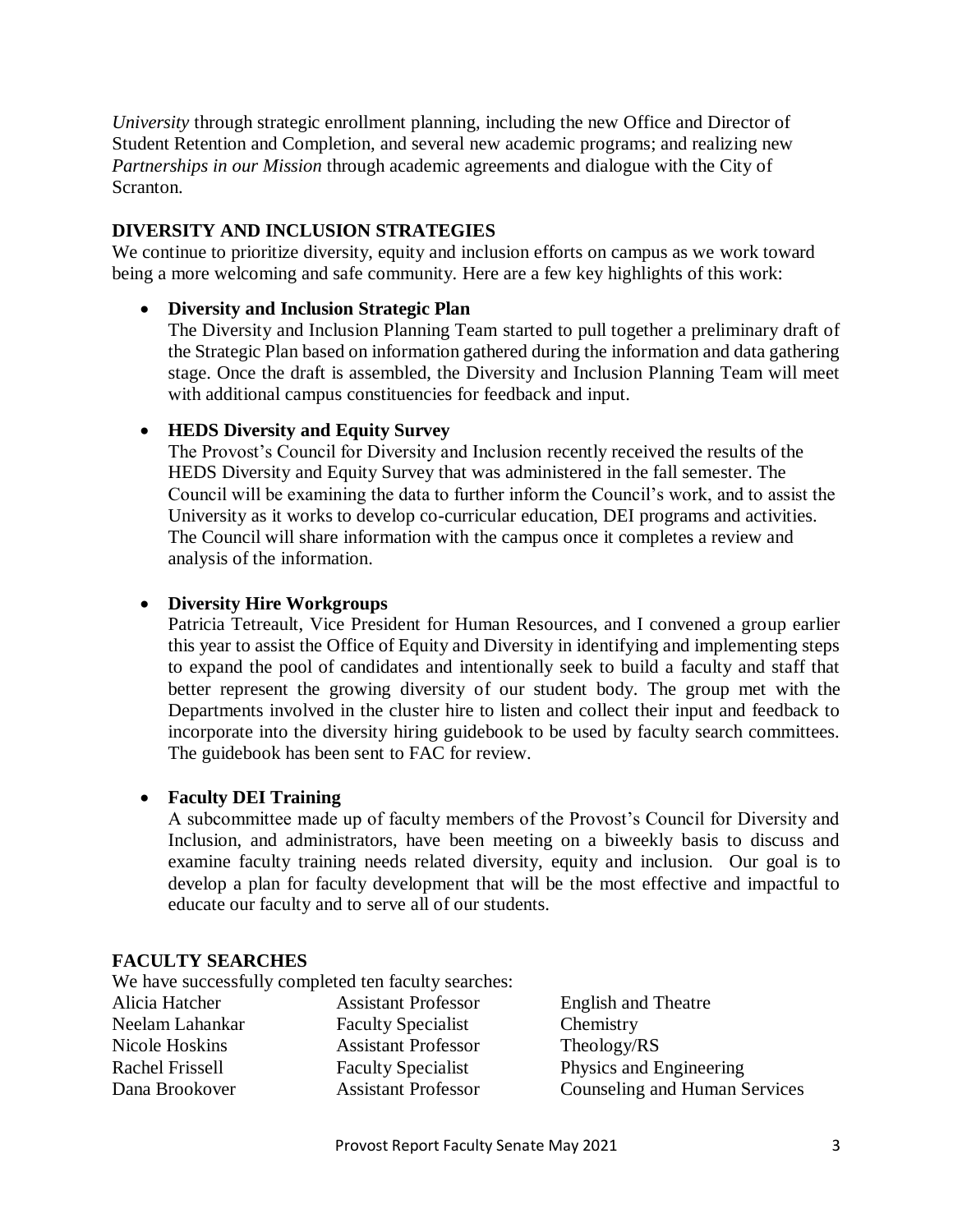*University* through strategic enrollment planning, including the new Office and Director of Student Retention and Completion, and several new academic programs; and realizing new *Partnerships in our Mission* through academic agreements and dialogue with the City of Scranton.

### **DIVERSITY AND INCLUSION STRATEGIES**

We continue to prioritize diversity, equity and inclusion efforts on campus as we work toward being a more welcoming and safe community. Here are a few key highlights of this work:

#### **Diversity and Inclusion Strategic Plan**

The Diversity and Inclusion Planning Team started to pull together a preliminary draft of the Strategic Plan based on information gathered during the information and data gathering stage. Once the draft is assembled, the Diversity and Inclusion Planning Team will meet with additional campus constituencies for feedback and input.

#### **HEDS Diversity and Equity Survey**

The Provost's Council for Diversity and Inclusion recently received the results of the HEDS Diversity and Equity Survey that was administered in the fall semester. The Council will be examining the data to further inform the Council's work, and to assist the University as it works to develop co-curricular education, DEI programs and activities. The Council will share information with the campus once it completes a review and analysis of the information.

#### **Diversity Hire Workgroups**

Patricia Tetreault, Vice President for Human Resources, and I convened a group earlier this year to assist the Office of Equity and Diversity in identifying and implementing steps to expand the pool of candidates and intentionally seek to build a faculty and staff that better represent the growing diversity of our student body. The group met with the Departments involved in the cluster hire to listen and collect their input and feedback to incorporate into the diversity hiring guidebook to be used by faculty search committees. The guidebook has been sent to FAC for review.

#### **Faculty DEI Training**

A subcommittee made up of faculty members of the Provost's Council for Diversity and Inclusion, and administrators, have been meeting on a biweekly basis to discuss and examine faculty training needs related diversity, equity and inclusion. Our goal is to develop a plan for faculty development that will be the most effective and impactful to educate our faculty and to serve all of our students.

#### **FACULTY SEARCHES**

|                 | We have successfully completed ten faculty searches: |                               |
|-----------------|------------------------------------------------------|-------------------------------|
| Alicia Hatcher  | <b>Assistant Professor</b>                           | <b>English and Theatre</b>    |
| Neelam Lahankar | <b>Faculty Specialist</b>                            | Chemistry                     |
| Nicole Hoskins  | <b>Assistant Professor</b>                           | Theology/RS                   |
| Rachel Frissell | <b>Faculty Specialist</b>                            | Physics and Engineering       |
| Dana Brookover  | <b>Assistant Professor</b>                           | Counseling and Human Services |
|                 |                                                      |                               |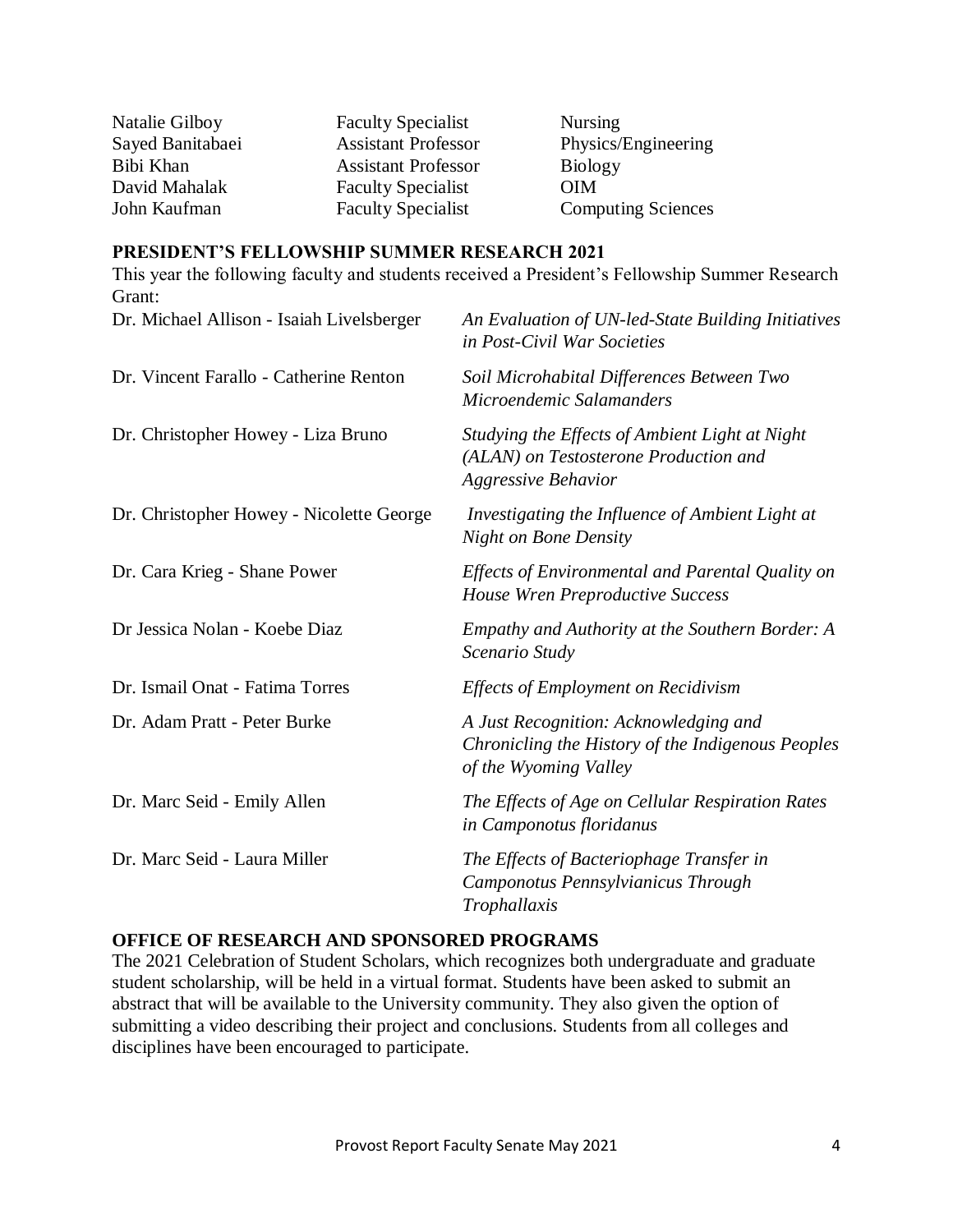| Natalie Gilboy   | <b>Faculty Specialist</b>  | <b>Nursing</b>            |
|------------------|----------------------------|---------------------------|
| Sayed Banitabaei | <b>Assistant Professor</b> | Physics/Engineering       |
| Bibi Khan        | <b>Assistant Professor</b> | <b>Biology</b>            |
| David Mahalak    | <b>Faculty Specialist</b>  | <b>OIM</b>                |
| John Kaufman     | <b>Faculty Specialist</b>  | <b>Computing Sciences</b> |
|                  |                            |                           |

#### **PRESIDENT'S FELLOWSHIP SUMMER RESEARCH 2021**

This year the following faculty and students received a President's Fellowship Summer Research Grant: Dr. Michael Allison - Isaiah Livelsberger *An Evaluation of UN-led-State Building Initiatives* 

| Dr. Michael Allison - Isaiah Livelsberger | An Evaluation of UN-led-State Building Initiatives<br>in Post-Civil War Societies                                     |
|-------------------------------------------|-----------------------------------------------------------------------------------------------------------------------|
| Dr. Vincent Farallo - Catherine Renton    | Soil Microhabital Differences Between Two<br>Microendemic Salamanders                                                 |
| Dr. Christopher Howey - Liza Bruno        | Studying the Effects of Ambient Light at Night<br>(ALAN) on Testosterone Production and<br><b>Aggressive Behavior</b> |
| Dr. Christopher Howey - Nicolette George  | Investigating the Influence of Ambient Light at<br><b>Night on Bone Density</b>                                       |
| Dr. Cara Krieg - Shane Power              | Effects of Environmental and Parental Quality on<br><b>House Wren Preproductive Success</b>                           |
| Dr Jessica Nolan - Koebe Diaz             | Empathy and Authority at the Southern Border: A<br>Scenario Study                                                     |
| Dr. Ismail Onat - Fatima Torres           | <b>Effects of Employment on Recidivism</b>                                                                            |
| Dr. Adam Pratt - Peter Burke              | A Just Recognition: Acknowledging and<br>Chronicling the History of the Indigenous Peoples<br>of the Wyoming Valley   |
| Dr. Marc Seid - Emily Allen               | The Effects of Age on Cellular Respiration Rates<br>in Camponotus floridanus                                          |
| Dr. Marc Seid - Laura Miller              | The Effects of Bacteriophage Transfer in<br>Camponotus Pennsylvianicus Through<br>Trophallaxis                        |

# **OFFICE OF RESEARCH AND SPONSORED PROGRAMS**

The 2021 Celebration of Student Scholars, which recognizes both undergraduate and graduate student scholarship, will be held in a virtual format. Students have been asked to submit an abstract that will be available to the University community. They also given the option of submitting a video describing their project and conclusions. Students from all colleges and disciplines have been encouraged to participate.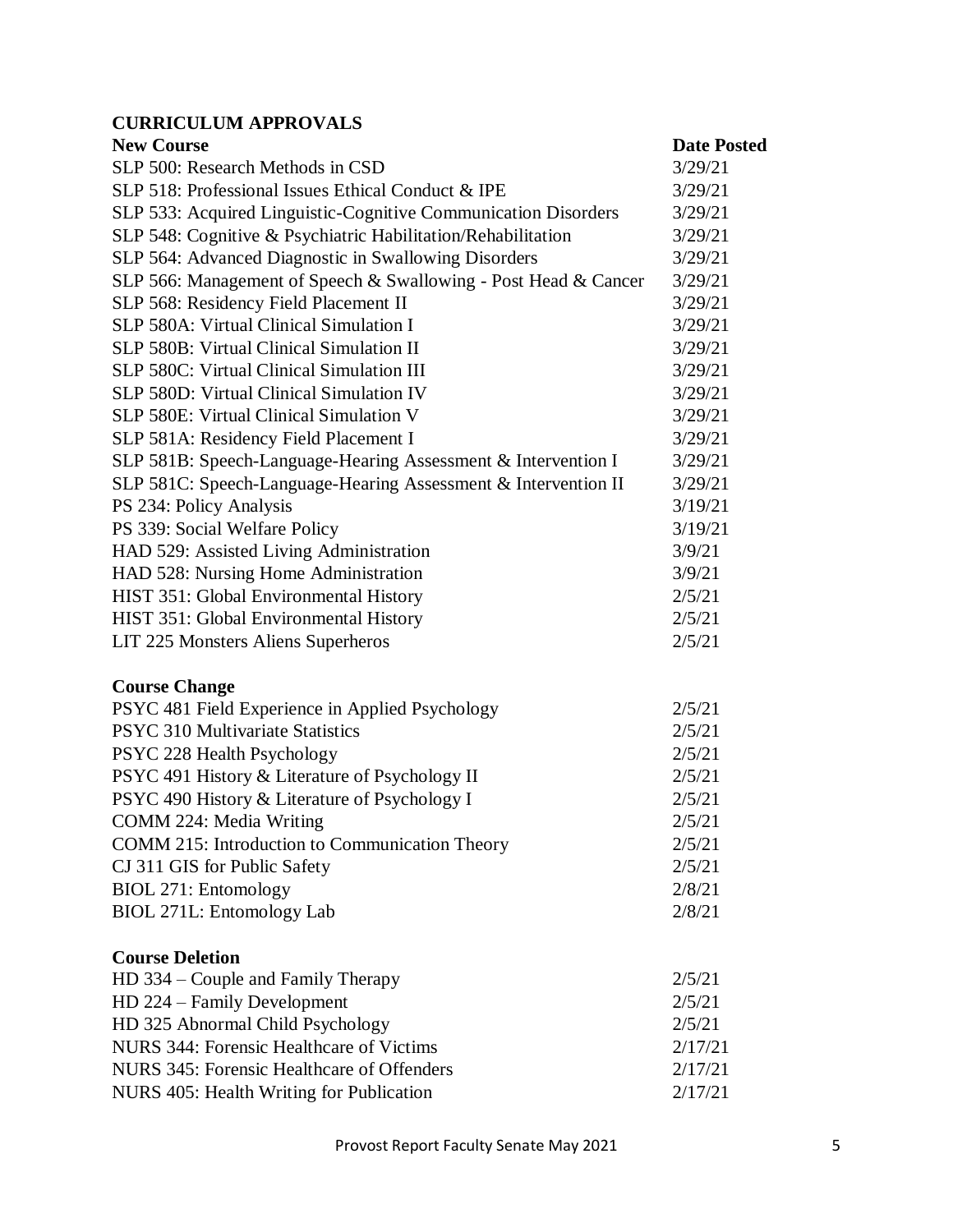# **CURRICULUM APPROVALS**

| <b>New Course</b>                                               | <b>Date Posted</b> |
|-----------------------------------------------------------------|--------------------|
| SLP 500: Research Methods in CSD                                | 3/29/21            |
| SLP 518: Professional Issues Ethical Conduct & IPE              | 3/29/21            |
| SLP 533: Acquired Linguistic-Cognitive Communication Disorders  | 3/29/21            |
| SLP 548: Cognitive & Psychiatric Habilitation/Rehabilitation    | 3/29/21            |
| SLP 564: Advanced Diagnostic in Swallowing Disorders            | 3/29/21            |
| SLP 566: Management of Speech & Swallowing - Post Head & Cancer | 3/29/21            |
| SLP 568: Residency Field Placement II                           | 3/29/21            |
| SLP 580A: Virtual Clinical Simulation I                         | 3/29/21            |
| <b>SLP 580B: Virtual Clinical Simulation II</b>                 | 3/29/21            |
| SLP 580C: Virtual Clinical Simulation III                       | 3/29/21            |
| SLP 580D: Virtual Clinical Simulation IV                        | 3/29/21            |
| SLP 580E: Virtual Clinical Simulation V                         | 3/29/21            |
| SLP 581A: Residency Field Placement I                           | 3/29/21            |
| SLP 581B: Speech-Language-Hearing Assessment & Intervention I   | 3/29/21            |
| SLP 581C: Speech-Language-Hearing Assessment & Intervention II  | 3/29/21            |
| PS 234: Policy Analysis                                         | 3/19/21            |
| PS 339: Social Welfare Policy                                   | 3/19/21            |
| HAD 529: Assisted Living Administration                         | 3/9/21             |
| HAD 528: Nursing Home Administration                            | 3/9/21             |
| HIST 351: Global Environmental History                          | 2/5/21             |
| HIST 351: Global Environmental History                          | 2/5/21             |
| LIT 225 Monsters Aliens Superheros                              | 2/5/21             |
| <b>Course Change</b>                                            |                    |
| PSYC 481 Field Experience in Applied Psychology                 | 2/5/21             |
| PSYC 310 Multivariate Statistics                                | 2/5/21             |
| PSYC 228 Health Psychology                                      | 2/5/21             |
| PSYC 491 History & Literature of Psychology II                  | 2/5/21             |
| PSYC 490 History & Literature of Psychology I                   | 2/5/21             |
| COMM 224: Media Writing                                         | 2/5/21             |
| <b>COMM 215: Introduction to Communication Theory</b>           | 2/5/21             |
| CJ 311 GIS for Public Safety                                    | 2/5/21             |
| BIOL 271: Entomology                                            | 2/8/21             |
| BIOL 271L: Entomology Lab                                       | 2/8/21             |
| <b>Course Deletion</b>                                          |                    |
| HD 334 – Couple and Family Therapy                              | 2/5/21             |
| HD 224 – Family Development                                     | 2/5/21             |
| HD 325 Abnormal Child Psychology                                | 2/5/21             |
| NURS 344: Forensic Healthcare of Victims                        | 2/17/21            |
| NURS 345: Forensic Healthcare of Offenders                      | 2/17/21            |
| NURS 405: Health Writing for Publication                        | 2/17/21            |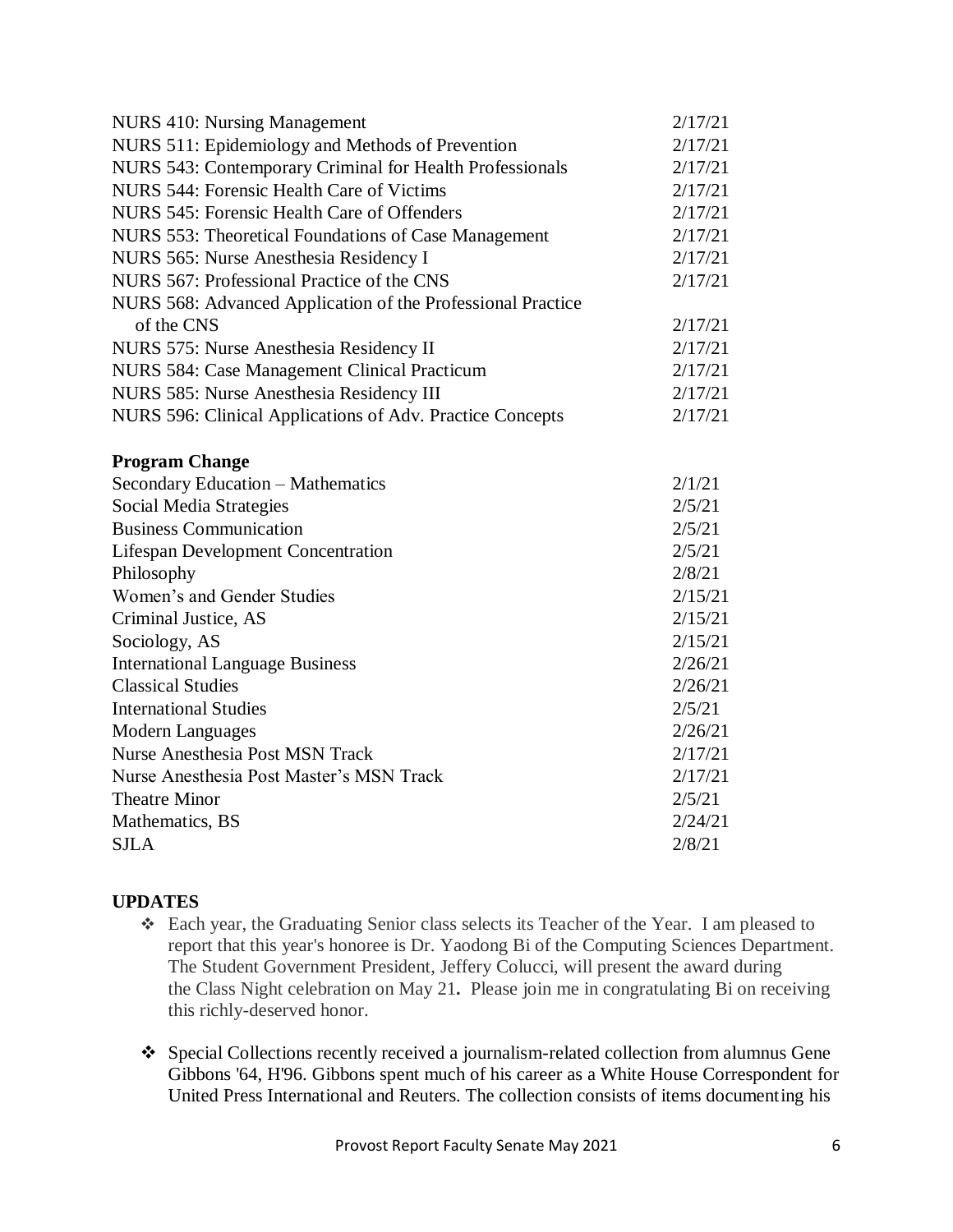| <b>NURS 410: Nursing Management</b>                         | 2/17/21 |
|-------------------------------------------------------------|---------|
| NURS 511: Epidemiology and Methods of Prevention            | 2/17/21 |
| NURS 543: Contemporary Criminal for Health Professionals    | 2/17/21 |
| NURS 544: Forensic Health Care of Victims                   | 2/17/21 |
| NURS 545: Forensic Health Care of Offenders                 | 2/17/21 |
| NURS 553: Theoretical Foundations of Case Management        | 2/17/21 |
| NURS 565: Nurse Anesthesia Residency I                      | 2/17/21 |
| NURS 567: Professional Practice of the CNS                  | 2/17/21 |
| NURS 568: Advanced Application of the Professional Practice |         |
| of the CNS                                                  | 2/17/21 |
| NURS 575: Nurse Anesthesia Residency II                     | 2/17/21 |
| NURS 584: Case Management Clinical Practicum                | 2/17/21 |
| NURS 585: Nurse Anesthesia Residency III                    | 2/17/21 |
| NURS 596: Clinical Applications of Adv. Practice Concepts   | 2/17/21 |
|                                                             |         |
| <b>Program Change</b>                                       |         |
| <b>Secondary Education - Mathematics</b>                    | 2/1/21  |
| Social Media Strategies                                     | 2/5/21  |
| <b>Business Communication</b>                               |         |
| <b>Lifespan Development Concentration</b>                   |         |
| Philosophy                                                  | 2/8/21  |
| Women's and Gender Studies                                  |         |
| Criminal Justice, AS                                        |         |
| Sociology, AS                                               |         |
| <b>International Language Business</b>                      |         |
| <b>Classical Studies</b>                                    | 2/26/21 |
| <b>International Studies</b>                                |         |
| <b>Modern Languages</b>                                     | 2/26/21 |
| <b>Nurse Anesthesia Post MSN Track</b>                      |         |
| Nurse Anesthesia Post Master's MSN Track                    |         |
| <b>Theatre Minor</b>                                        |         |
| Mathematics, BS<br>2/24/21                                  |         |
| <b>SJLA</b>                                                 | 2/8/21  |
|                                                             |         |

# **UPDATES**

- Each year, the Graduating Senior class selects its Teacher of the Year. I am pleased to report that this year's honoree is Dr. Yaodong Bi of the Computing Sciences Department. The Student Government President, Jeffery Colucci, will present the award during the Class Night celebration on May 21**.** Please join me in congratulating Bi on receiving this richly-deserved honor.
- Special Collections recently received a journalism-related collection from alumnus Gene Gibbons '64, H'96. Gibbons spent much of his career as a White House Correspondent for United Press International and Reuters. The collection consists of items documenting his